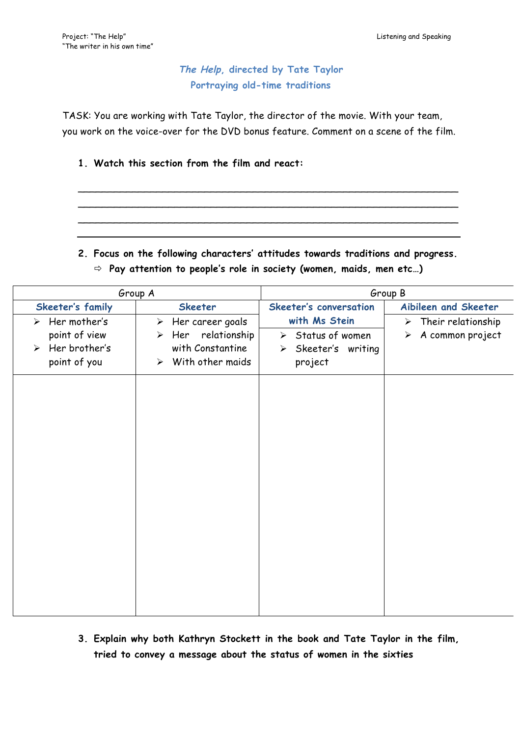## **The Help, directed by Tate Taylor Portraying old-time traditions**

TASK: You are working with Tate Taylor, the director of the movie. With your team, you work on the voice-over for the DVD bonus feature. Comment on a scene of the film.

## **1. Watch this section from the film and react:**

**2. Focus on the following characters' attitudes towards traditions and progress.** ð **Pay attention to people's role in society (women, maids, men etc…)**

\_\_\_\_\_\_\_\_\_\_\_\_\_\_\_\_\_\_\_\_\_\_\_\_\_\_\_\_\_\_\_\_\_\_\_\_\_\_\_\_\_\_\_\_\_\_\_\_\_\_\_\_\_\_\_\_\_\_\_\_\_\_\_ \_\_\_\_\_\_\_\_\_\_\_\_\_\_\_\_\_\_\_\_\_\_\_\_\_\_\_\_\_\_\_\_\_\_\_\_\_\_\_\_\_\_\_\_\_\_\_\_\_\_\_\_\_\_\_\_\_\_\_\_\_\_\_ \_\_\_\_\_\_\_\_\_\_\_\_\_\_\_\_\_\_\_\_\_\_\_\_\_\_\_\_\_\_\_\_\_\_\_\_\_\_\_\_\_\_\_\_\_\_\_\_\_\_\_\_\_\_\_\_\_\_\_\_\_\_\_

|                       |                               | Group A                                   | Group B                            |                                           |  |  |  |  |
|-----------------------|-------------------------------|-------------------------------------------|------------------------------------|-------------------------------------------|--|--|--|--|
|                       | Skeeter's family              | <b>Skeeter</b>                            | Skeeter's conversation             | Aibileen and Skeeter                      |  |  |  |  |
|                       | $\triangleright$ Her mother's | $\triangleright$ Her career goals         | with Ms Stein                      | $\triangleright$ Their relationship       |  |  |  |  |
|                       | point of view                 | Her relationship<br>$\blacktriangleright$ | $\triangleright$ Status of women   | A common project<br>$\blacktriangleright$ |  |  |  |  |
| $\blacktriangleright$ | Her brother's                 | with Constantine<br>With other maids      | $\triangleright$ Skeeter's writing |                                           |  |  |  |  |
|                       | point of you                  | ➤                                         | project                            |                                           |  |  |  |  |
|                       |                               |                                           |                                    |                                           |  |  |  |  |
|                       |                               |                                           |                                    |                                           |  |  |  |  |
|                       |                               |                                           |                                    |                                           |  |  |  |  |
|                       |                               |                                           |                                    |                                           |  |  |  |  |
|                       |                               |                                           |                                    |                                           |  |  |  |  |
|                       |                               |                                           |                                    |                                           |  |  |  |  |
|                       |                               |                                           |                                    |                                           |  |  |  |  |
|                       |                               |                                           |                                    |                                           |  |  |  |  |
|                       |                               |                                           |                                    |                                           |  |  |  |  |
|                       |                               |                                           |                                    |                                           |  |  |  |  |
|                       |                               |                                           |                                    |                                           |  |  |  |  |
|                       |                               |                                           |                                    |                                           |  |  |  |  |
|                       |                               |                                           |                                    |                                           |  |  |  |  |
|                       |                               |                                           |                                    |                                           |  |  |  |  |
|                       |                               |                                           |                                    |                                           |  |  |  |  |
|                       |                               |                                           |                                    |                                           |  |  |  |  |

**3. Explain why both Kathryn Stockett in the book and Tate Taylor in the film, tried to convey a message about the status of women in the sixties**